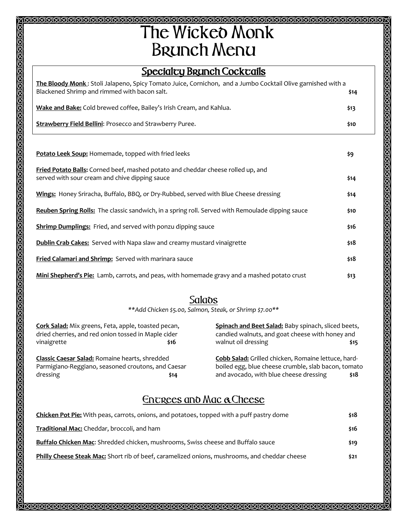## T**he** W**icked** M**onk** B**runch** M**enu**

## **Specialty Brunch Cocktails**

| The Bloody Monk: Stoli Jalapeno, Spicy Tomato Juice, Cornichon, and a Jumbo Cocktail Olive garnished with a<br>Blackened Shrimp and rimmed with bacon salt. | \$14  |
|-------------------------------------------------------------------------------------------------------------------------------------------------------------|-------|
| Wake and Bake: Cold brewed coffee, Bailey's Irish Cream, and Kahlua.                                                                                        | \$13  |
| <b>Strawberry Field Bellini: Prosecco and Strawberry Puree.</b>                                                                                             | \$10. |

**Potato Leek Soup:** Homemade, topped with fried leeks **\$9 Fried Potato Balls:** Corned beef, mashed potato and cheddar cheese rolled up, and served with sour cream and chive dipping sauce **\$14 Wings:** Honey Sriracha, Buffalo, BBQ, or Dry-Rubbed, served with Blue Cheese dressing **\$14 Reuben Spring Rolls:** The classic sandwich, in a spring roll. Served with Remoulade dipping sauce **\$10 Shrimp Dumplings:** Fried, and served with ponzu dipping sauce **\$16** \$16 **Dublin Crab Cakes:** Served with Napa slaw and creamy mustard vinaigrette **\$18 Fried Calamari and Shrimp:** Served with marinara sauce **\$18 Mini Shepherd's Pie:** Lamb, carrots, and peas, with homemade gravy and a mashed potato crust **\$13** 

## S**alads**

*\*\*Add Chicken \$5.00, Salmon, Steak, or Shrimp \$7.00\*\**

| Cork Salad: Mix greens, Feta, apple, toasted pecan,<br>dried cherries, and red onion tossed in Maple cider<br>vinaigrette | \$16 | Spinach and Beet Salad: Baby spinach, sliced beets,<br>candied walnuts, and goat cheese with honey and<br>walnut oil dressing | \$15 |
|---------------------------------------------------------------------------------------------------------------------------|------|-------------------------------------------------------------------------------------------------------------------------------|------|
| <b>Classic Caesar Salad: Romaine hearts, shredded</b><br>Parmigiano-Reggiano, seasoned croutons, and Caesar               |      | Cobb Salad: Grilled chicken, Romaine lettuce, hard-<br>boiled egg, blue cheese crumble, slab bacon, tomato                    |      |
| dressing                                                                                                                  | \$14 | and avocado, with blue cheese dressing                                                                                        | \$18 |
|                                                                                                                           |      | $0.50000000$ began $0.00000$                                                                                                  |      |

## E**ntrees and** M**ac &**C**heese**

| <b>Chicken Pot Pie:</b> With peas, carrots, onions, and potatoes, topped with a puff pastry dome     | \$18  |
|------------------------------------------------------------------------------------------------------|-------|
| <b>Traditional Mac:</b> Cheddar, broccoli, and ham                                                   | \$16  |
| Buffalo Chicken Mac: Shredded chicken, mushrooms, Swiss cheese and Buffalo sauce                     | \$19  |
| <b>Philly Cheese Steak Mac:</b> Short rib of beef, caramelized onions, mushrooms, and cheddar cheese | \$21. |